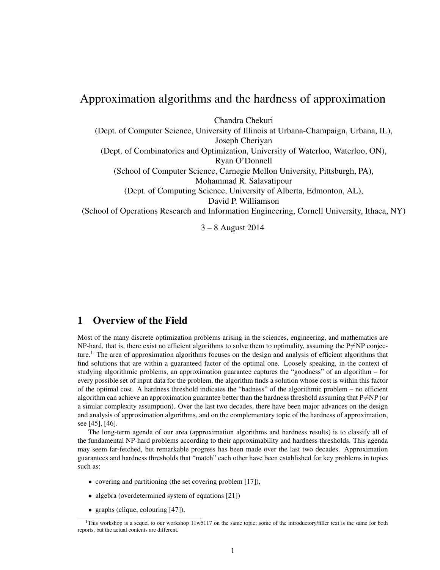# Approximation algorithms and the hardness of approximation

Chandra Chekuri

(Dept. of Computer Science, University of Illinois at Urbana-Champaign, Urbana, IL), Joseph Cheriyan (Dept. of Combinatorics and Optimization, University of Waterloo, Waterloo, ON), Ryan O'Donnell (School of Computer Science, Carnegie Mellon University, Pittsburgh, PA), Mohammad R. Salavatipour (Dept. of Computing Science, University of Alberta, Edmonton, AL), David P. Williamson (School of Operations Research and Information Engineering, Cornell University, Ithaca, NY)

3 – 8 August 2014

## 1 Overview of the Field

Most of the many discrete optimization problems arising in the sciences, engineering, and mathematics are NP-hard, that is, there exist no efficient algorithms to solve them to optimality, assuming the  $P\neq NP$  conjecture.<sup>1</sup> The area of approximation algorithms focuses on the design and analysis of efficient algorithms that find solutions that are within a guaranteed factor of the optimal one. Loosely speaking, in the context of studying algorithmic problems, an approximation guarantee captures the "goodness" of an algorithm – for every possible set of input data for the problem, the algorithm finds a solution whose cost is within this factor of the optimal cost. A hardness threshold indicates the "badness" of the algorithmic problem – no efficient algorithm can achieve an approximation guarantee better than the hardness threshold assuming that  $P\neq NP$  (or a similar complexity assumption). Over the last two decades, there have been major advances on the design and analysis of approximation algorithms, and on the complementary topic of the hardness of approximation, see [45], [46].

The long-term agenda of our area (approximation algorithms and hardness results) is to classify all of the fundamental NP-hard problems according to their approximability and hardness thresholds. This agenda may seem far-fetched, but remarkable progress has been made over the last two decades. Approximation guarantees and hardness thresholds that "match" each other have been established for key problems in topics such as:

- covering and partitioning (the set covering problem [17]),
- algebra (overdetermined system of equations [21])
- graphs (clique, colouring [47]),

<sup>1</sup>This workshop is a sequel to our workshop 11w5117 on the same topic; some of the introductory/filler text is the same for both reports, but the actual contents are different.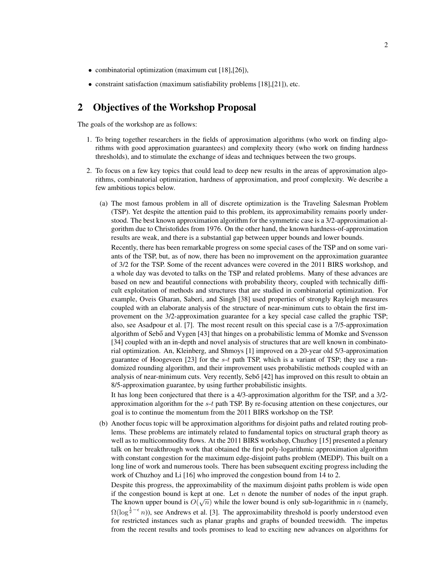- combinatorial optimization (maximum cut [18], [26]),
- constraint satisfaction (maximum satisfiability problems [18], [21]), etc.

## 2 Objectives of the Workshop Proposal

The goals of the workshop are as follows:

- 1. To bring together researchers in the fields of approximation algorithms (who work on finding algorithms with good approximation guarantees) and complexity theory (who work on finding hardness thresholds), and to stimulate the exchange of ideas and techniques between the two groups.
- 2. To focus on a few key topics that could lead to deep new results in the areas of approximation algorithms, combinatorial optimization, hardness of approximation, and proof complexity. We describe a few ambitious topics below.
	- (a) The most famous problem in all of discrete optimization is the Traveling Salesman Problem (TSP). Yet despite the attention paid to this problem, its approximability remains poorly understood. The best known approximation algorithm for the symmetric case is a 3/2-approximation algorithm due to Christofides from 1976. On the other hand, the known hardness-of-approximation results are weak, and there is a substantial gap between upper bounds and lower bounds.

Recently, there has been remarkable progress on some special cases of the TSP and on some variants of the TSP, but, as of now, there has been no improvement on the approximation guarantee of 3/2 for the TSP. Some of the recent advances were covered in the 2011 BIRS workshop, and a whole day was devoted to talks on the TSP and related problems. Many of these advances are based on new and beautiful connections with probability theory, coupled with technically difficult exploitation of methods and structures that are studied in combinatorial optimization. For example, Oveis Gharan, Saberi, and Singh [38] used properties of strongly Rayleigh measures coupled with an elaborate analysis of the structure of near-minimum cuts to obtain the first improvement on the 3/2-approximation guarantee for a key special case called the graphic TSP; also, see Asadpour et al. [7]. The most recent result on this special case is a 7/5-approximation algorithm of Sebő and Vygen [43] that hinges on a probabilistic lemma of Momke and Svensson [34] coupled with an in-depth and novel analysis of structures that are well known in combinatorial optimization. An, Kleinberg, and Shmoys [1] improved on a 20-year old 5/3-approximation guarantee of Hoogeveen [23] for the  $s$ -t path TSP, which is a variant of TSP; they use a randomized rounding algorithm, and their improvement uses probabilistic methods coupled with an analysis of near-minimum cuts. Very recently, Sebo [42] has improved on this result to obtain an 8/5-approximation guarantee, by using further probabilistic insights.

It has long been conjectured that there is a 4/3-approximation algorithm for the TSP, and a 3/2 approximation algorithm for the  $s-t$  path TSP. By re-focusing attention on these conjectures, our goal is to continue the momentum from the 2011 BIRS workshop on the TSP.

(b) Another focus topic will be approximation algorithms for disjoint paths and related routing problems. These problems are intimately related to fundamental topics on structural graph theory as well as to multicommodity flows. At the 2011 BIRS workshop, Chuzhoy [15] presented a plenary talk on her breakthrough work that obtained the first poly-logarithmic approximation algorithm with constant congestion for the maximum edge-disjoint paths problem (MEDP). This built on a long line of work and numerous tools. There has been subsequent exciting progress including the work of Chuzhoy and Li [16] who improved the congestion bound from 14 to 2. Despite this progress, the approximability of the maximum disjoint paths problem is wide open

if the congestion bound is kept at one. Let *n* denote the number of nodes of the input graph. The known upper bound is  $O(\sqrt{n})$  while the lower bound is only sub-logarithmic in n (namely,  $\Omega(\log^{\frac{1}{2}-\epsilon} n)$ , see Andrews et al. [3]. The approximability threshold is poorly understood even for restricted instances such as planar graphs and graphs of bounded treewidth. The impetus from the recent results and tools promises to lead to exciting new advances on algorithms for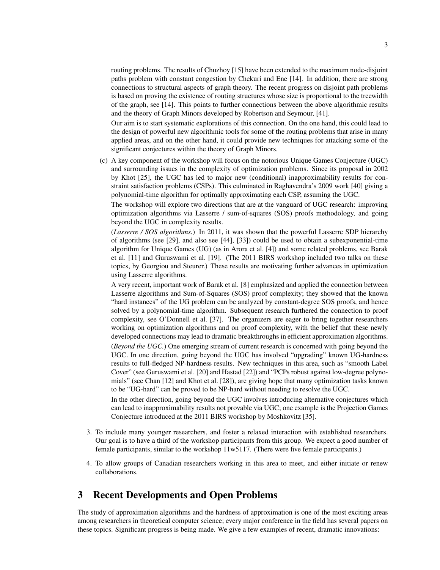routing problems. The results of Chuzhoy [15] have been extended to the maximum node-disjoint paths problem with constant congestion by Chekuri and Ene [14]. In addition, there are strong connections to structural aspects of graph theory. The recent progress on disjoint path problems is based on proving the existence of routing structures whose size is proportional to the treewidth of the graph, see [14]. This points to further connections between the above algorithmic results and the theory of Graph Minors developed by Robertson and Seymour, [41].

Our aim is to start systematic explorations of this connection. On the one hand, this could lead to the design of powerful new algorithmic tools for some of the routing problems that arise in many applied areas, and on the other hand, it could provide new techniques for attacking some of the significant conjectures within the theory of Graph Minors.

(c) A key component of the workshop will focus on the notorious Unique Games Conjecture (UGC) and surrounding issues in the complexity of optimization problems. Since its proposal in 2002 by Khot [25], the UGC has led to major new (conditional) inapproximability results for constraint satisfaction problems (CSPs). This culminated in Raghavendra's 2009 work [40] giving a polynomial-time algorithm for optimally approximating each CSP, assuming the UGC.

The workshop will explore two directions that are at the vanguard of UGC research: improving optimization algorithms via Lasserre / sum-of-squares (SOS) proofs methodology, and going beyond the UGC in complexity results.

(*Lasserre / SOS algorithms.*) In 2011, it was shown that the powerful Lasserre SDP hierarchy of algorithms (see [29], and also see [44], [33]) could be used to obtain a subexponential-time algorithm for Unique Games (UG) (as in Arora et al. [4]) and some related problems, see Barak et al. [11] and Guruswami et al. [19]. (The 2011 BIRS workshop included two talks on these topics, by Georgiou and Steurer.) These results are motivating further advances in optimization using Lasserre algorithms.

A very recent, important work of Barak et al. [8] emphasized and applied the connection between Lasserre algorithms and Sum-of-Squares (SOS) proof complexity; they showed that the known "hard instances" of the UG problem can be analyzed by constant-degree SOS proofs, and hence solved by a polynomial-time algorithm. Subsequent research furthered the connection to proof complexity, see O'Donnell et al. [37]. The organizers are eager to bring together researchers working on optimization algorithms and on proof complexity, with the belief that these newly developed connections may lead to dramatic breakthroughs in efficient approximation algorithms. (*Beyond the UGC.*) One emerging stream of current research is concerned with going beyond the UGC. In one direction, going beyond the UGC has involved "upgrading" known UG-hardness results to full-fledged NP-hardness results. New techniques in this area, such as "smooth Label Cover" (see Guruswami et al. [20] and Hastad [22]) and "PCPs robust against low-degree polynomials" (see Chan [12] and Khot et al. [28]), are giving hope that many optimization tasks known to be "UG-hard" can be proved to be NP-hard without needing to resolve the UGC.

In the other direction, going beyond the UGC involves introducing alternative conjectures which can lead to inapproximability results not provable via UGC; one example is the Projection Games Conjecture introduced at the 2011 BIRS workshop by Moshkovitz [35].

- 3. To include many younger researchers, and foster a relaxed interaction with established researchers. Our goal is to have a third of the workshop participants from this group. We expect a good number of female participants, similar to the workshop 11w5117. (There were five female participants.)
- 4. To allow groups of Canadian researchers working in this area to meet, and either initiate or renew collaborations.

## 3 Recent Developments and Open Problems

The study of approximation algorithms and the hardness of approximation is one of the most exciting areas among researchers in theoretical computer science; every major conference in the field has several papers on these topics. Significant progress is being made. We give a few examples of recent, dramatic innovations: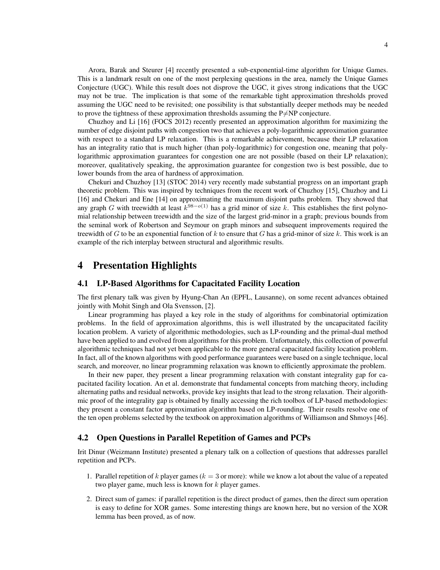Arora, Barak and Steurer [4] recently presented a sub-exponential-time algorithm for Unique Games. This is a landmark result on one of the most perplexing questions in the area, namely the Unique Games Conjecture (UGC). While this result does not disprove the UGC, it gives strong indications that the UGC may not be true. The implication is that some of the remarkable tight approximation thresholds proved assuming the UGC need to be revisited; one possibility is that substantially deeper methods may be needed to prove the tightness of these approximation thresholds assuming the  $P\neq NP$  conjecture.

Chuzhoy and Li [16] (FOCS 2012) recently presented an approximation algorithm for maximizing the number of edge disjoint paths with congestion two that achieves a poly-logarithmic approximation guarantee with respect to a standard LP relaxation. This is a remarkable achievement, because their LP relaxation has an integrality ratio that is much higher (than poly-logarithmic) for congestion one, meaning that polylogarithmic approximation guarantees for congestion one are not possible (based on their LP relaxation); moreover, qualitatively speaking, the approximation guarantee for congestion two is best possible, due to lower bounds from the area of hardness of approximation.

Chekuri and Chuzhoy [13] (STOC 2014) very recently made substantial progress on an important graph theoretic problem. This was inspired by techniques from the recent work of Chuzhoy [15], Chuzhoy and Li [16] and Chekuri and Ene [14] on approximating the maximum disjoint paths problem. They showed that any graph G with treewidth at least  $k^{98-o(1)}$  has a grid minor of size k. This establishes the first polynomial relationship between treewidth and the size of the largest grid-minor in a graph; previous bounds from the seminal work of Robertson and Seymour on graph minors and subsequent improvements required the treewidth of G to be an exponential function of k to ensure that G has a grid-minor of size k. This work is an example of the rich interplay between structural and algorithmic results.

## 4 Presentation Highlights

#### 4.1 LP-Based Algorithms for Capacitated Facility Location

The first plenary talk was given by Hyung-Chan An (EPFL, Lausanne), on some recent advances obtained jointly with Mohit Singh and Ola Svensson, [2].

Linear programming has played a key role in the study of algorithms for combinatorial optimization problems. In the field of approximation algorithms, this is well illustrated by the uncapacitated facility location problem. A variety of algorithmic methodologies, such as LP-rounding and the primal-dual method have been applied to and evolved from algorithms for this problem. Unfortunately, this collection of powerful algorithmic techniques had not yet been applicable to the more general capacitated facility location problem. In fact, all of the known algorithms with good performance guarantees were based on a single technique, local search, and moreover, no linear programming relaxation was known to efficiently approximate the problem.

In their new paper, they present a linear programming relaxation with constant integrality gap for capacitated facility location. An et al. demonstrate that fundamental concepts from matching theory, including alternating paths and residual networks, provide key insights that lead to the strong relaxation. Their algorithmic proof of the integrality gap is obtained by finally accessing the rich toolbox of LP-based methodologies: they present a constant factor approximation algorithm based on LP-rounding. Their results resolve one of the ten open problems selected by the textbook on approximation algorithms of Williamson and Shmoys [46].

#### 4.2 Open Questions in Parallel Repetition of Games and PCPs

Irit Dinur (Weizmann Institute) presented a plenary talk on a collection of questions that addresses parallel repetition and PCPs.

- 1. Parallel repetition of k player games ( $k = 3$  or more): while we know a lot about the value of a repeated two player game, much less is known for  $k$  player games.
- 2. Direct sum of games: if parallel repetition is the direct product of games, then the direct sum operation is easy to define for XOR games. Some interesting things are known here, but no version of the XOR lemma has been proved, as of now.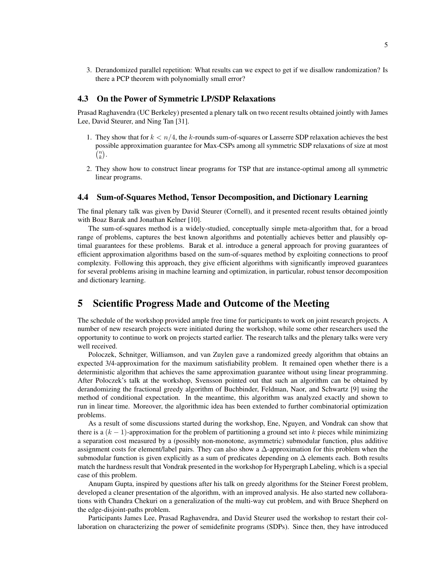3. Derandomized parallel repetition: What results can we expect to get if we disallow randomization? Is there a PCP theorem with polynomially small error?

#### 4.3 On the Power of Symmetric LP/SDP Relaxations

Prasad Raghavendra (UC Berkeley) presented a plenary talk on two recent results obtained jointly with James Lee, David Steurer, and Ning Tan [31].

- 1. They show that for  $k < n/4$ , the k-rounds sum-of-squares or Lasserre SDP relaxation achieves the best possible approximation guarantee for Max-CSPs among all symmetric SDP relaxations of size at most  $\bar{\binom{n}{k}}$ .
- 2. They show how to construct linear programs for TSP that are instance-optimal among all symmetric linear programs.

#### 4.4 Sum-of-Squares Method, Tensor Decomposition, and Dictionary Learning

The final plenary talk was given by David Steurer (Cornell), and it presented recent results obtained jointly with Boaz Barak and Jonathan Kelner [10].

The sum-of-squares method is a widely-studied, conceptually simple meta-algorithm that, for a broad range of problems, captures the best known algorithms and potentially achieves better and plausibly optimal guarantees for these problems. Barak et al. introduce a general approach for proving guarantees of efficient approximation algorithms based on the sum-of-squares method by exploiting connections to proof complexity. Following this approach, they give efficient algorithms with significantly improved guarantees for several problems arising in machine learning and optimization, in particular, robust tensor decomposition and dictionary learning.

## 5 Scientific Progress Made and Outcome of the Meeting

The schedule of the workshop provided ample free time for participants to work on joint research projects. A number of new research projects were initiated during the workshop, while some other researchers used the opportunity to continue to work on projects started earlier. The research talks and the plenary talks were very well received.

Poloczek, Schnitger, Williamson, and van Zuylen gave a randomized greedy algorithm that obtains an expected 3/4-approximation for the maximum satisfiability problem. It remained open whether there is a deterministic algorithm that achieves the same approximation guarantee without using linear programming. After Poloczek's talk at the workshop, Svensson pointed out that such an algorithm can be obtained by derandomizing the fractional greedy algorithm of Buchbinder, Feldman, Naor, and Schwartz [9] using the method of conditional expectation. In the meantime, this algorithm was analyzed exactly and shown to run in linear time. Moreover, the algorithmic idea has been extended to further combinatorial optimization problems.

As a result of some discussions started during the workshop, Ene, Nguyen, and Vondrak can show that there is a  $(k - 1)$ -approximation for the problem of partitioning a ground set into k pieces while minimizing a separation cost measured by a (possibly non-monotone, asymmetric) submodular function, plus additive assignment costs for element/label pairs. They can also show a ∆-approximation for this problem when the submodular function is given explicitly as a sum of predicates depending on  $\Delta$  elements each. Both results match the hardness result that Vondrak presented in the workshop for Hypergraph Labeling, which is a special case of this problem.

Anupam Gupta, inspired by questions after his talk on greedy algorithms for the Steiner Forest problem, developed a cleaner presentation of the algorithm, with an improved analysis. He also started new collaborations with Chandra Chekuri on a generalization of the multi-way cut problem, and with Bruce Shepherd on the edge-disjoint-paths problem.

Participants James Lee, Prasad Raghavendra, and David Steurer used the workshop to restart their collaboration on characterizing the power of semidefinite programs (SDPs). Since then, they have introduced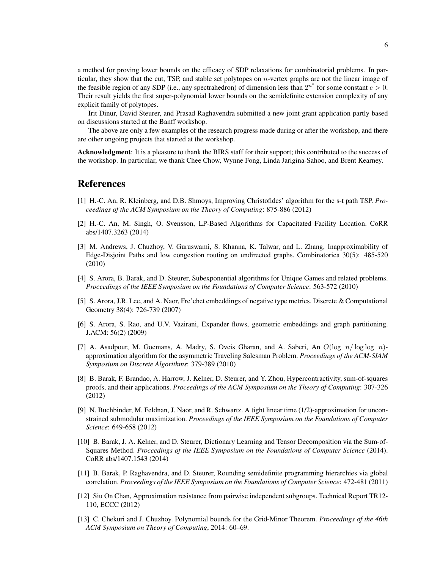a method for proving lower bounds on the efficacy of SDP relaxations for combinatorial problems. In particular, they show that the cut, TSP, and stable set polytopes on  $n$ -vertex graphs are not the linear image of the feasible region of any SDP (i.e., any spectrahedron) of dimension less than  $2^{n^c}$  for some constant  $c > 0$ . Their result yields the first super-polynomial lower bounds on the semidefinite extension complexity of any explicit family of polytopes.

Irit Dinur, David Steurer, and Prasad Raghavendra submitted a new joint grant application partly based on discussions started at the Banff workshop.

The above are only a few examples of the research progress made during or after the workshop, and there are other ongoing projects that started at the workshop.

Acknowledgment: It is a pleasure to thank the BIRS staff for their support; this contributed to the success of the workshop. In particular, we thank Chee Chow, Wynne Fong, Linda Jarigina-Sahoo, and Brent Kearney.

## References

- [1] H.-C. An, R. Kleinberg, and D.B. Shmoys, Improving Christofides' algorithm for the s-t path TSP. *Proceedings of the ACM Symposium on the Theory of Computing*: 875-886 (2012)
- [2] H.-C. An, M. Singh, O. Svensson, LP-Based Algorithms for Capacitated Facility Location. CoRR abs/1407.3263 (2014)
- [3] M. Andrews, J. Chuzhoy, V. Guruswami, S. Khanna, K. Talwar, and L. Zhang, Inapproximability of Edge-Disjoint Paths and low congestion routing on undirected graphs. Combinatorica 30(5): 485-520 (2010)
- [4] S. Arora, B. Barak, and D. Steurer, Subexponential algorithms for Unique Games and related problems. *Proceedings of the IEEE Symposium on the Foundations of Computer Science*: 563-572 (2010)
- [5] S. Arora, J.R. Lee, and A. Naor, Fre'chet embeddings of negative type metrics. Discrete & Computational Geometry 38(4): 726-739 (2007)
- [6] S. Arora, S. Rao, and U.V. Vazirani, Expander flows, geometric embeddings and graph partitioning. J.ACM: 56(2) (2009)
- [7] A. Asadpour, M. Goemans, A. Madry, S. Oveis Gharan, and A. Saberi, An  $O(\log n/\log \log n)$ approximation algorithm for the asymmetric Traveling Salesman Problem. *Proceedings of the ACM-SIAM Symposium on Discrete Algorithms*: 379-389 (2010)
- [8] B. Barak, F. Brandao, A. Harrow, J. Kelner, D. Steurer, and Y. Zhou, Hypercontractivity, sum-of-squares proofs, and their applications. *Proceedings of the ACM Symposium on the Theory of Computing*: 307-326 (2012)
- [9] N. Buchbinder, M. Feldnan, J. Naor, and R. Schwartz. A tight linear time (1/2)-approximation for unconstrained submodular maximization. *Proceedings of the IEEE Symposium on the Foundations of Computer Science*: 649-658 (2012)
- [10] B. Barak, J. A. Kelner, and D. Steurer, Dictionary Learning and Tensor Decomposition via the Sum-of-Squares Method. *Proceedings of the IEEE Symposium on the Foundations of Computer Science* (2014). CoRR abs/1407.1543 (2014)
- [11] B. Barak, P. Raghavendra, and D. Steurer, Rounding semidefinite programming hierarchies via global correlation. *Proceedings of the IEEE Symposium on the Foundations of Computer Science*: 472-481 (2011)
- [12] Siu On Chan, Approximation resistance from pairwise independent subgroups. Technical Report TR12- 110, ECCC (2012)
- [13] C. Chekuri and J. Chuzhoy. Polynomial bounds for the Grid-Minor Theorem. *Proceedings of the 46th ACM Symposium on Theory of Computing*, 2014: 60–69.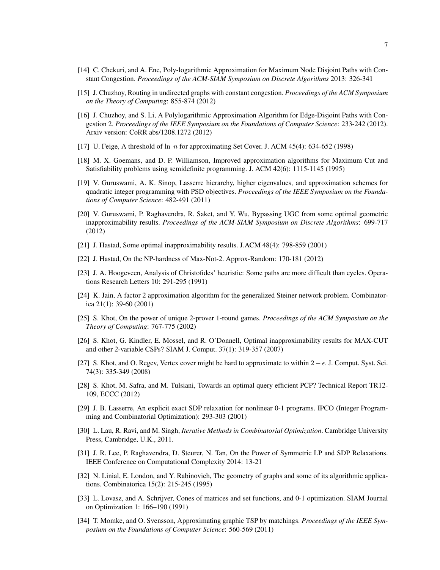- [14] C. Chekuri, and A. Ene, Poly-logarithmic Approximation for Maximum Node Disjoint Paths with Constant Congestion. *Proceedings of the ACM-SIAM Symposium on Discrete Algorithms* 2013: 326-341
- [15] J. Chuzhoy, Routing in undirected graphs with constant congestion. *Proceedings of the ACM Symposium on the Theory of Computing*: 855-874 (2012)
- [16] J. Chuzhoy, and S. Li, A Polylogarithmic Approximation Algorithm for Edge-Disjoint Paths with Congestion 2. *Proceedings of the IEEE Symposium on the Foundations of Computer Science*: 233-242 (2012). Arxiv version: CoRR abs/1208.1272 (2012)
- [17] U. Feige, A threshold of  $\ln n$  for approximating Set Cover. J. ACM 45(4): 634-652 (1998)
- [18] M. X. Goemans, and D. P. Williamson, Improved approximation algorithms for Maximum Cut and Satisfiability problems using semidefinite programming. J. ACM 42(6): 1115-1145 (1995)
- [19] V. Guruswami, A. K. Sinop, Lasserre hierarchy, higher eigenvalues, and approximation schemes for quadratic integer programming with PSD objectives. *Proceedings of the IEEE Symposium on the Foundations of Computer Science*: 482-491 (2011)
- [20] V. Guruswami, P. Raghavendra, R. Saket, and Y. Wu, Bypassing UGC from some optimal geometric inapproximability results. *Proceedings of the ACM-SIAM Symposium on Discrete Algorithms*: 699-717 (2012)
- [21] J. Hastad, Some optimal inapproximability results. J.ACM 48(4): 798-859 (2001)
- [22] J. Hastad, On the NP-hardness of Max-Not-2. Approx-Random: 170-181 (2012)
- [23] J. A. Hoogeveen, Analysis of Christofides' heuristic: Some paths are more difficult than cycles. Operations Research Letters 10: 291-295 (1991)
- [24] K. Jain, A factor 2 approximation algorithm for the generalized Steiner network problem. Combinatorica 21(1): 39-60 (2001)
- [25] S. Khot, On the power of unique 2-prover 1-round games. *Proceedings of the ACM Symposium on the Theory of Computing*: 767-775 (2002)
- [26] S. Khot, G. Kindler, E. Mossel, and R. O'Donnell, Optimal inapproximability results for MAX-CUT and other 2-variable CSPs? SIAM J. Comput. 37(1): 319-357 (2007)
- [27] S. Khot, and O. Regev, Vertex cover might be hard to approximate to within  $2 \epsilon$ . J. Comput. Syst. Sci. 74(3): 335-349 (2008)
- [28] S. Khot, M. Safra, and M. Tulsiani, Towards an optimal query efficient PCP? Technical Report TR12- 109, ECCC (2012)
- [29] J. B. Lasserre, An explicit exact SDP relaxation for nonlinear 0-1 programs. IPCO (Integer Programming and Combinatorial Optimization): 293-303 (2001)
- [30] L. Lau, R. Ravi, and M. Singh, *Iterative Methods in Combinatorial Optimization*. Cambridge University Press, Cambridge, U.K., 2011.
- [31] J. R. Lee, P. Raghavendra, D. Steurer, N. Tan, On the Power of Symmetric LP and SDP Relaxations. IEEE Conference on Computational Complexity 2014: 13-21
- [32] N. Linial, E. London, and Y. Rabinovich, The geometry of graphs and some of its algorithmic applications. Combinatorica 15(2): 215-245 (1995)
- [33] L. Lovasz, and A. Schrijver, Cones of matrices and set functions, and 0-1 optimization. SIAM Journal on Optimization 1: 166–190 (1991)
- [34] T. Momke, and O. Svensson, Approximating graphic TSP by matchings. *Proceedings of the IEEE Symposium on the Foundations of Computer Science*: 560-569 (2011)